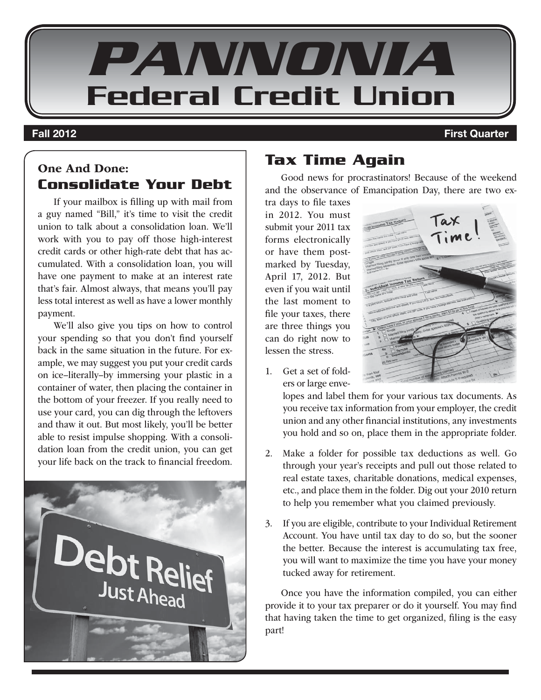

#### **Fall 2012 First Quarter**

# One And Done: **Consolidate Your Debt**

If your mailbox is filling up with mail from a guy named "Bill," it's time to visit the credit union to talk about a consolidation loan. We'll work with you to pay off those high-interest credit cards or other high-rate debt that has accumulated. With a consolidation loan, you will have one payment to make at an interest rate that's fair. Almost always, that means you'll pay less total interest as well as have a lower monthly payment.

We'll also give you tips on how to control your spending so that you don't find yourself back in the same situation in the future. For example, we may suggest you put your credit cards on ice–literally–by immersing your plastic in a container of water, then placing the container in the bottom of your freezer. If you really need to use your card, you can dig through the leftovers and thaw it out. But most likely, you'll be better able to resist impulse shopping. With a consolidation loan from the credit union, you can get your life back on the track to financial freedom.



# **Tax Time Again**

Good news for procrastinators! Because of the weekend and the observance of Emancipation Day, there are two ex-

tra days to file taxes in 2012. You must submit your 2011 tax forms electronically or have them postmarked by Tuesday, April 17, 2012. But even if you wait until the last moment to file your taxes, there are three things you can do right now to lessen the stress.

- 
- 1. Get a set of folders or large enve-

lopes and label them for your various tax documents. As you receive tax information from your employer, the credit union and any other financial institutions, any investments you hold and so on, place them in the appropriate folder.

- 2. Make a folder for possible tax deductions as well. Go through your year's receipts and pull out those related to real estate taxes, charitable donations, medical expenses, etc., and place them in the folder. Dig out your 2010 return to help you remember what you claimed previously.
- 3. If you are eligible, contribute to your Individual Retirement Account. You have until tax day to do so, but the sooner the better. Because the interest is accumulating tax free, you will want to maximize the time you have your money tucked away for retirement.

Once you have the information compiled, you can either provide it to your tax preparer or do it yourself. You may find that having taken the time to get organized, filing is the easy part!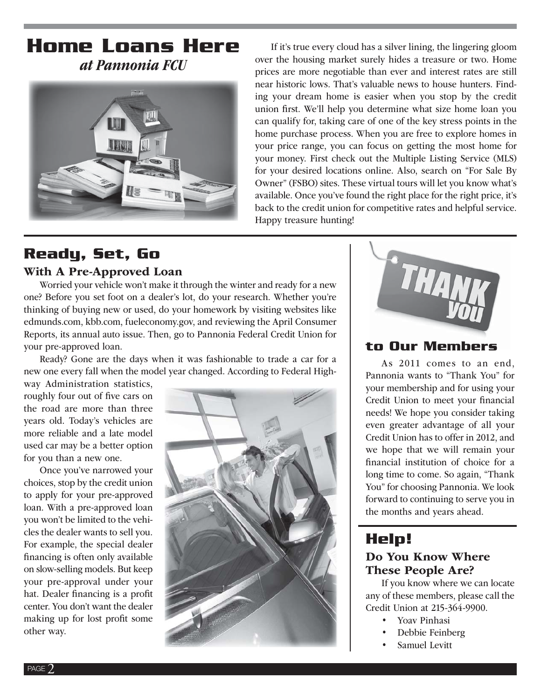# **Home Loans Here** at Pannonia FCU



If it's true every cloud has a silver lining, the lingering gloom over the housing market surely hides a treasure or two. Home prices are more negotiable than ever and interest rates are still near historic lows. That's valuable news to house hunters. Finding your dream home is easier when you stop by the credit union first. We'll help you determine what size home loan you can qualify for, taking care of one of the key stress points in the home purchase process. When you are free to explore homes in your price range, you can focus on getting the most home for your money. First check out the Multiple Listing Service (MLS) for your desired locations online. Also, search on "For Sale By Owner" (FSBO) sites. These virtual tours will let you know what's available. Once you've found the right place for the right price, it's back to the credit union for competitive rates and helpful service. Happy treasure hunting!

# **Ready, Set, Go**

#### With A Pre-Approved Loan

Worried your vehicle won't make it through the winter and ready for a new one? Before you set foot on a dealer's lot, do your research. Whether you're thinking of buying new or used, do your homework by visiting websites like edmunds.com, kbb.com, fueleconomy.gov, and reviewing the April Consumer Reports, its annual auto issue. Then, go to Pannonia Federal Credit Union for your pre-approved loan.

Ready? Gone are the days when it was fashionable to trade a car for a new one every fall when the model year changed. According to Federal High-

way Administration statistics, roughly four out of five cars on the road are more than three years old. Today's vehicles are more reliable and a late model used car may be a better option for you than a new one.

Once you've narrowed your choices, stop by the credit union to apply for your pre-approved loan. With a pre-approved loan you won't be limited to the vehicles the dealer wants to sell you. For example, the special dealer financing is often only available on slow-selling models. But keep your pre-approval under your hat. Dealer financing is a profit center. You don't want the dealer making up for lost profit some other way.





## **to Our Members**

As 2011 comes to an end, Pannonia wants to "Thank You" for your membership and for using your Credit Union to meet your financial needs! We hope you consider taking even greater advantage of all your Credit Union has to offer in 2012, and we hope that we will remain your financial institution of choice for a long time to come. So again, "Thank You" for choosing Pannonia. We look forward to continuing to serve you in the months and years ahead.

# **Help!**

#### Do You Know Where These People Are?

If you know where we can locate any of these members, please call the Credit Union at 215-364-9900.

- Yoav Pinhasi
- Debbie Feinberg
- Samuel Levitt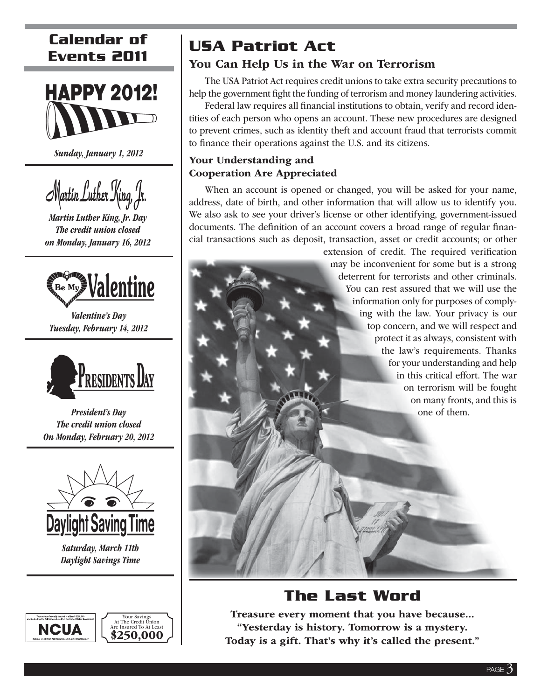# **Calendar of Events 2011**



Sunday, January 1, 2012



Martin Luther King, Jr. Day The credit union closed on Monday, January 16, 2012



Valentine's Day Tuesday, February 14, 2012



President's Day The credit union closed On Monday, February 20, 2012



Saturday, March 11th Daylight Savings Time



# **USA Patriot Act**

### You Can Help Us in the War on Terrorism

The USA Patriot Act requires credit unions to take extra security precautions to help the government fight the funding of terrorism and money laundering activities.

Federal law requires all financial institutions to obtain, verify and record identities of each person who opens an account. These new procedures are designed to prevent crimes, such as identity theft and account fraud that terrorists commit to finance their operations against the U.S. and its citizens.

#### Your Understanding and Cooperation Are Appreciated

When an account is opened or changed, you will be asked for your name, address, date of birth, and other information that will allow us to identify you. We also ask to see your driver's license or other identifying, government-issued documents. The definition of an account covers a broad range of regular financial transactions such as deposit, transaction, asset or credit accounts; or other

> extension of credit. The required verification may be inconvenient for some but is a strong m deterrent for terrorists and other criminals. d You can rest assured that we will use the Y information only for purposes of comply-in ing with the law. Your privacy is our in top concern, and we will respect and to protect it as always, consistent with pr the law's requirements. Thanks th for your understanding and help fo in this critical effort. The war in on terrorism will be fought on many fronts, and this is o one of them. o

# **The Last Word**

Treasure every moment that you have because... "Yesterday is history. Tomorrow is a mystery. Today is a gift. That's why it's called the present."